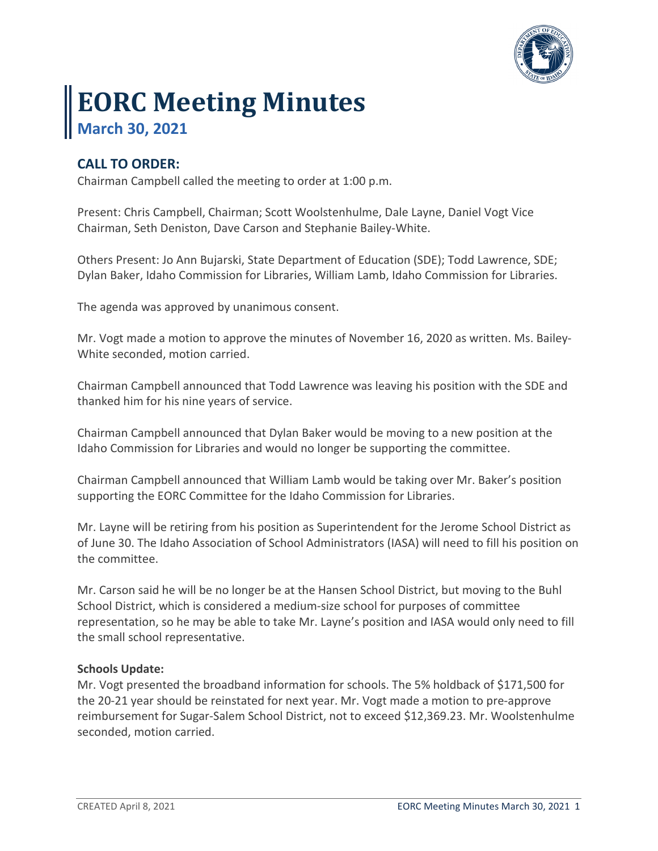

# **EORC Meeting Minutes March 30, 2021**

## **CALL TO ORDER:**

Chairman Campbell called the meeting to order at 1:00 p.m.

Present: Chris Campbell, Chairman; Scott Woolstenhulme, Dale Layne, Daniel Vogt Vice Chairman, Seth Deniston, Dave Carson and Stephanie Bailey-White.

Others Present: Jo Ann Bujarski, State Department of Education (SDE); Todd Lawrence, SDE; Dylan Baker, Idaho Commission for Libraries, William Lamb, Idaho Commission for Libraries.

The agenda was approved by unanimous consent.

Mr. Vogt made a motion to approve the minutes of November 16, 2020 as written. Ms. Bailey-White seconded, motion carried.

Chairman Campbell announced that Todd Lawrence was leaving his position with the SDE and thanked him for his nine years of service.

Chairman Campbell announced that Dylan Baker would be moving to a new position at the Idaho Commission for Libraries and would no longer be supporting the committee.

Chairman Campbell announced that William Lamb would be taking over Mr. Baker's position supporting the EORC Committee for the Idaho Commission for Libraries.

Mr. Layne will be retiring from his position as Superintendent for the Jerome School District as of June 30. The Idaho Association of School Administrators (IASA) will need to fill his position on the committee.

Mr. Carson said he will be no longer be at the Hansen School District, but moving to the Buhl School District, which is considered a medium-size school for purposes of committee representation, so he may be able to take Mr. Layne's position and IASA would only need to fill the small school representative.

### **Schools Update:**

Mr. Vogt presented the broadband information for schools. The 5% holdback of \$171,500 for the 20-21 year should be reinstated for next year. Mr. Vogt made a motion to pre-approve reimbursement for Sugar-Salem School District, not to exceed \$12,369.23. Mr. Woolstenhulme seconded, motion carried.